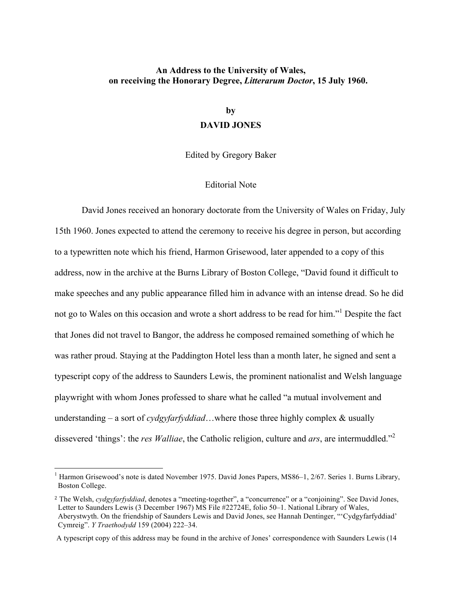### **An Address to the University of Wales, on receiving the Honorary Degree,** *Litterarum Doctor***, 15 July 1960.**

# **by DAVID JONES**

Edited by Gregory Baker

#### Editorial Note

David Jones received an honorary doctorate from the University of Wales on Friday, July 15th 1960. Jones expected to attend the ceremony to receive his degree in person, but according to a typewritten note which his friend, Harmon Grisewood, later appended to a copy of this address, now in the archive at the Burns Library of Boston College, "David found it difficult to make speeches and any public appearance filled him in advance with an intense dread. So he did not go to Wales on this occasion and wrote a short address to be read for him."<sup>1</sup> Despite the fact that Jones did not travel to Bangor, the address he composed remained something of which he was rather proud. Staying at the Paddington Hotel less than a month later, he signed and sent a typescript copy of the address to Saunders Lewis, the prominent nationalist and Welsh language playwright with whom Jones professed to share what he called "a mutual involvement and understanding – a sort of *cydgyfarfyddiad*…where those three highly complex & usually dissevered 'things': the *res Walliae*, the Catholic religion, culture and *ars*, are intermuddled."<sup>2</sup>

<sup>&</sup>lt;sup>1</sup> Harmon Grisewood's note is dated November 1975. David Jones Papers, MS86–1, 2/67. Series 1. Burns Library, Boston College.

<sup>2</sup> The Welsh, *cydgyfarfyddiad*, denotes a "meeting-together", a "concurrence" or a "conjoining". See David Jones, Letter to Saunders Lewis (3 December 1967) MS File #22724E, folio 50–1. National Library of Wales, Aberystwyth. On the friendship of Saunders Lewis and David Jones, see Hannah Dentinger, "'Cydgyfarfyddiad' Cymreig". *Y Traethodydd* 159 (2004) 222–34.

A typescript copy of this address may be found in the archive of Jones' correspondence with Saunders Lewis (14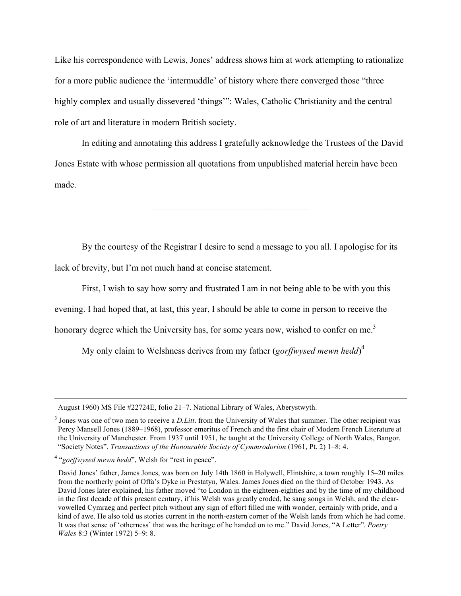Like his correspondence with Lewis, Jones' address shows him at work attempting to rationalize for a more public audience the 'intermuddle' of history where there converged those "three highly complex and usually dissevered 'things'": Wales, Catholic Christianity and the central role of art and literature in modern British society.

In editing and annotating this address I gratefully acknowledge the Trustees of the David Jones Estate with whose permission all quotations from unpublished material herein have been made.

 $\mathcal{L}_\text{max}$  , and the set of the set of the set of the set of the set of the set of the set of the set of the set of the set of the set of the set of the set of the set of the set of the set of the set of the set of the

By the courtesy of the Registrar I desire to send a message to you all. I apologise for its lack of brevity, but I'm not much hand at concise statement.

First, I wish to say how sorry and frustrated I am in not being able to be with you this evening. I had hoped that, at last, this year, I should be able to come in person to receive the honorary degree which the University has, for some years now, wished to confer on me.<sup>3</sup>

My only claim to Welshness derives from my father (*gorffwysed mewn hedd*) 4

<u> Alexandro de la contrada de la contrada de la contrada de la contrada de la contrada de la contrada de la co</u>

August 1960) MS File #22724E, folio 21–7. National Library of Wales, Aberystwyth.

<sup>&</sup>lt;sup>3</sup> Jones was one of two men to receive a *D.Litt*. from the University of Wales that summer. The other recipient was Percy Mansell Jones (1889–1968), professor emeritus of French and the first chair of Modern French Literature at the University of Manchester. From 1937 until 1951, he taught at the University College of North Wales, Bangor. "Society Notes". *Transactions of the Honourable Society of Cymmrodorion* (1961, Pt. 2) 1–8: 4.

<sup>4</sup> "*gorffwysed mewn hedd*", Welsh for "rest in peace".

David Jones' father, James Jones, was born on July 14th 1860 in Holywell, Flintshire, a town roughly 15–20 miles from the northerly point of Offa's Dyke in Prestatyn, Wales. James Jones died on the third of October 1943. As David Jones later explained, his father moved "to London in the eighteen-eighties and by the time of my childhood in the first decade of this present century, if his Welsh was greatly eroded, he sang songs in Welsh, and the clearvowelled Cymraeg and perfect pitch without any sign of effort filled me with wonder, certainly with pride, and a kind of awe. He also told us stories current in the north-eastern corner of the Welsh lands from which he had come. It was that sense of 'otherness' that was the heritage of he handed on to me." David Jones, "A Letter". *Poetry Wales* 8:3 (Winter 1972) 5–9: 8.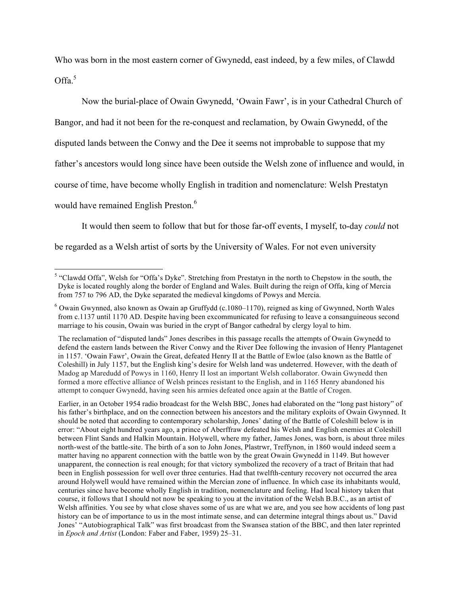Who was born in the most eastern corner of Gwynedd, east indeed, by a few miles, of Clawdd Offa. 5

Now the burial-place of Owain Gwynedd, 'Owain Fawr', is in your Cathedral Church of Bangor, and had it not been for the re-conquest and reclamation, by Owain Gwynedd, of the disputed lands between the Conwy and the Dee it seems not improbable to suppose that my father's ancestors would long since have been outside the Welsh zone of influence and would, in course of time, have become wholly English in tradition and nomenclature: Welsh Prestatyn would have remained English Preston.<sup>6</sup>

It would then seem to follow that but for those far-off events, I myself, to-day *could* not be regarded as a Welsh artist of sorts by the University of Wales. For not even university

 Earlier, in an October 1954 radio broadcast for the Welsh BBC, Jones had elaborated on the "long past history" of his father's birthplace, and on the connection between his ancestors and the military exploits of Owain Gwynned. It should be noted that according to contemporary scholarship, Jones' dating of the Battle of Coleshill below is in error: "About eight hundred years ago, a prince of Aberffraw defeated his Welsh and English enemies at Coleshill between Flint Sands and Halkin Mountain. Holywell, where my father, James Jones, was born, is about three miles north-west of the battle-site. The birth of a son to John Jones, Plastrwr, Treffynon, in 1860 would indeed seem a matter having no apparent connection with the battle won by the great Owain Gwynedd in 1149. But however unapparent, the connection is real enough; for that victory symbolized the recovery of a tract of Britain that had been in English possession for well over three centuries. Had that twelfth-century recovery not occurred the area around Holywell would have remained within the Mercian zone of influence. In which case its inhabitants would, centuries since have become wholly English in tradition, nomenclature and feeling. Had local history taken that course, it follows that I should not now be speaking to you at the invitation of the Welsh B.B.C., as an artist of Welsh affinities. You see by what close shaves some of us are what we are, and you see how accidents of long past history can be of importance to us in the most intimate sense, and can determine integral things about us." David Jones' "Autobiographical Talk" was first broadcast from the Swansea station of the BBC, and then later reprinted in *Epoch and Artist* (London: Faber and Faber, 1959) 25–31.

<sup>&</sup>lt;sup>5</sup> "Clawdd Offa". Welsh for "Offa's Dyke". Stretching from Prestatyn in the north to Chepstow in the south, the Dyke is located roughly along the border of England and Wales. Built during the reign of Offa, king of Mercia from 757 to 796 AD, the Dyke separated the medieval kingdoms of Powys and Mercia.

<sup>6</sup> Owain Gwynned, also known as Owain ap Gruffydd (c.1080–1170), reigned as king of Gwynned, North Wales from c.1137 until 1170 AD. Despite having been excommunicated for refusing to leave a consanguineous second marriage to his cousin, Owain was buried in the crypt of Bangor cathedral by clergy loyal to him.

The reclamation of "disputed lands" Jones describes in this passage recalls the attempts of Owain Gwynedd to defend the eastern lands between the River Conwy and the River Dee following the invasion of Henry Plantagenet in 1157. 'Owain Fawr', Owain the Great, defeated Henry II at the Battle of Ewloe (also known as the Battle of Coleshill) in July 1157, but the English king's desire for Welsh land was undeterred. However, with the death of Madog ap Maredudd of Powys in 1160, Henry II lost an important Welsh collaborator. Owain Gwynedd then formed a more effective alliance of Welsh princes resistant to the English, and in 1165 Henry abandoned his attempt to conquer Gwynedd, having seen his armies defeated once again at the Battle of Crogen.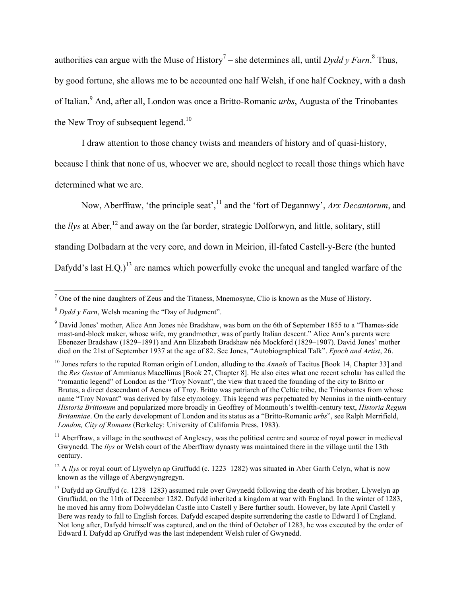authorities can argue with the Muse of History<sup>7</sup> – she determines all, until *Dydd y Farn*.<sup>8</sup> Thus, by good fortune, she allows me to be accounted one half Welsh, if one half Cockney, with a dash of Italian.9 And, after all, London was once a Britto-Romanic *urbs*, Augusta of the Trinobantes – the New Troy of subsequent legend.<sup>10</sup>

I draw attention to those chancy twists and meanders of history and of quasi-history,

because I think that none of us, whoever we are, should neglect to recall those things which have determined what we are.

Now, Aberffraw, 'the principle seat',<sup>11</sup> and the 'fort of Degannwy', *Arx Decantorum*, and the *llys* at Aber,<sup>12</sup> and away on the far border, strategic Dolforwyn, and little, solitary, still standing Dolbadarn at the very core, and down in Meirion, ill-fated Castell-y-Bere (the hunted Dafydd's last  $H.O.$ )<sup>13</sup> are names which powerfully evoke the unequal and tangled warfare of the

 <sup>7</sup> One of the nine daughters of Zeus and the Titaness, Mnemosyne, Clio is known as the Muse of History.

<sup>8</sup> *Dydd y Farn*, Welsh meaning the "Day of Judgment".

<sup>9</sup> David Jones' mother, Alice Ann Jones née Bradshaw, was born on the 6th of September 1855 to a "Thames-side mast-and-block maker, whose wife, my grandmother, was of partly Italian descent." Alice Ann's parents were Ebenezer Bradshaw (1829–1891) and Ann Elizabeth Bradshaw née Mockford (1829–1907). David Jones' mother died on the 21st of September 1937 at the age of 82. See Jones, "Autobiographical Talk". *Epoch and Artist*, 26.

<sup>&</sup>lt;sup>10</sup> Jones refers to the reputed Roman origin of London, alluding to the *Annals* of Tacitus [Book 14, Chapter 33] and the *Res Gestae* of Ammianus Macellinus [Book 27, Chapter 8]. He also cites what one recent scholar has called the "romantic legend" of London as the "Troy Novant", the view that traced the founding of the city to Britto or Brutus, a direct descendant of Aeneas of Troy. Britto was patriarch of the Celtic tribe, the Trinobantes from whose name "Troy Novant" was derived by false etymology. This legend was perpetuated by Nennius in the ninth-century *Historia Brittonum* and popularized more broadly in Geoffrey of Monmouth's twelfth-century text, *Historia Regum Britanniae*. On the early development of London and its status as a "Britto-Romanic *urbs*", see Ralph Merrifield, *London, City of Romans* (Berkeley: University of California Press, 1983).

 $11$  Aberffraw, a village in the southwest of Anglesey, was the political centre and source of royal power in medieval Gwynedd. The *llys* or Welsh court of the Aberffraw dynasty was maintained there in the village until the 13th century.

<sup>&</sup>lt;sup>12</sup> A *llys* or royal court of Llywelyn ap Gruffudd (c. 1223–1282) was situated in Aber Garth Celyn, what is now known as the village of Abergwyngregyn.

<sup>&</sup>lt;sup>13</sup> Dafydd ap Gruffyd (c. 1238–1283) assumed rule over Gwynedd following the death of his brother, Llywelyn ap Gruffudd, on the 11th of December 1282. Dafydd inherited a kingdom at war with England. In the winter of 1283, he moved his army from Dolwyddelan Castle into Castell y Bere further south. However, by late April Castell y Bere was ready to fall to English forces. Dafydd escaped despite surrendering the castle to Edward I of England. Not long after, Dafydd himself was captured, and on the third of October of 1283, he was executed by the order of Edward I. Dafydd ap Gruffyd was the last independent Welsh ruler of Gwynedd.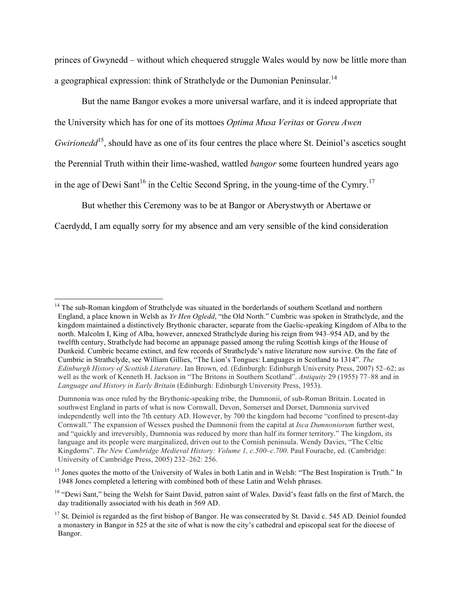princes of Gwynedd – without which chequered struggle Wales would by now be little more than a geographical expression: think of Strathclyde or the Dumonian Peninsular.<sup>14</sup>

But the name Bangor evokes a more universal warfare, and it is indeed appropriate that the University which has for one of its mottoes *Optima Musa Veritas* or *Goreu Awen Gwirionedd*<sup>15</sup>, should have as one of its four centres the place where St. Deiniol's ascetics sought the Perennial Truth within their lime-washed, wattled *bangor* some fourteen hundred years ago in the age of Dewi Sant<sup>16</sup> in the Celtic Second Spring, in the young-time of the Cymry.<sup>17</sup>

But whether this Ceremony was to be at Bangor or Aberystwyth or Abertawe or

Caerdydd, I am equally sorry for my absence and am very sensible of the kind consideration

<sup>&</sup>lt;sup>14</sup> The sub-Roman kingdom of Strathclyde was situated in the borderlands of southern Scotland and northern England, a place known in Welsh as *Yr Hen Ogledd*, "the Old North." Cumbric was spoken in Strathclyde, and the kingdom maintained a distinctively Brythonic character, separate from the Gaelic-speaking Kingdom of Alba to the north. Malcolm I, King of Alba, however, annexed Strathclyde during his reign from 943–954 AD, and by the twelfth century, Strathclyde had become an appanage passed among the ruling Scottish kings of the House of Dunkeid. Cumbric became extinct, and few records of Strathclyde's native literature now survive. On the fate of Cumbric in Strathclyde, see William Gillies, "The Lion's Tongues: Languages in Scotland to 1314". *The Edinburgh History of Scottish Literature*. Ian Brown, ed. (Edinburgh: Edinburgh University Press, 2007) 52–62; as well as the work of Kenneth H. Jackson in "The Britons in Southern Scotland". *Antiquity* 29 (1955) 77–88 and in *Language and History in Early Britain* (Edinburgh: Edinburgh University Press, 1953).

Dumnonia was once ruled by the Brythonic-speaking tribe, the Dumnonii, of sub-Roman Britain. Located in southwest England in parts of what is now Cornwall, Devon, Somerset and Dorset, Dumnonia survived independently well into the 7th century AD. However, by 700 the kingdom had become "confined to present-day Cornwall." The expansion of Wessex pushed the Dumnonii from the capital at *Isca Dumnoniorum* further west, and "quickly and irreversibly, Dumnonia was reduced by more than half its former territory." The kingdom, its language and its people were marginalized, driven out to the Cornish peninsula. Wendy Davies, "The Celtic Kingdoms". *The New Cambridge Medieval History: Volume 1, c.500–c.700*. Paul Fourache, ed. (Cambridge: University of Cambridge Press, 2005) 232–262: 256.

<sup>&</sup>lt;sup>15</sup> Jones quotes the motto of the University of Wales in both Latin and in Welsh: "The Best Inspiration is Truth." In 1948 Jones completed a lettering with combined both of these Latin and Welsh phrases.

<sup>&</sup>lt;sup>16</sup> "Dewi Sant," being the Welsh for Saint David, patron saint of Wales. David's feast falls on the first of March, the day traditionally associated with his death in 569 AD.

 $17$  St. Deiniol is regarded as the first bishop of Bangor. He was consecrated by St. David c. 545 AD. Deiniol founded a monastery in Bangor in 525 at the site of what is now the city's cathedral and episcopal seat for the diocese of Bangor.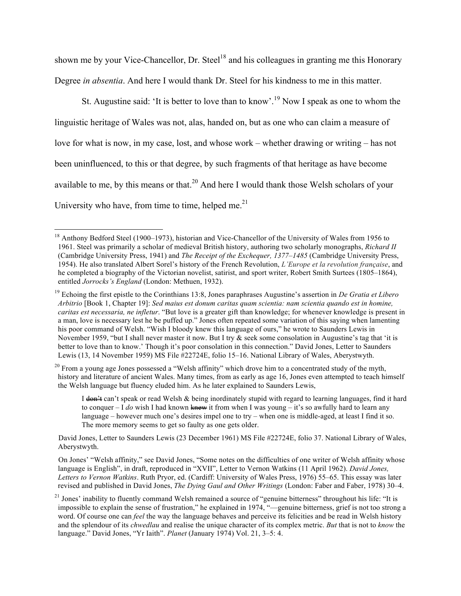shown me by your Vice-Chancellor, Dr. Steel<sup>18</sup> and his colleagues in granting me this Honorary Degree *in absentia*. And here I would thank Dr. Steel for his kindness to me in this matter.

St. Augustine said: 'It is better to love than to know'.<sup>19</sup> Now I speak as one to whom the linguistic heritage of Wales was not, alas, handed on, but as one who can claim a measure of love for what is now, in my case, lost, and whose work – whether drawing or writing – has not been uninfluenced, to this or that degree, by such fragments of that heritage as have become available to me, by this means or that.<sup>20</sup> And here I would thank those Welsh scholars of your University who have, from time to time, helped me. $^{21}$ 

I don<sup>2</sup>t can't speak or read Welsh & being inordinately stupid with regard to learning languages, find it hard to conquer – I *do* wish I had known knew it from when I was young – it's so awfully hard to learn any language – however much one's desires impel one to try – when one is middle-aged, at least I find it so. The more memory seems to get so faulty as one gets older.

 David Jones, Letter to Saunders Lewis (23 December 1961) MS File #22724E, folio 37. National Library of Wales, Aberystwyth.

 On Jones' "Welsh affinity," see David Jones, "Some notes on the difficulties of one writer of Welsh affinity whose language is English", in draft, reproduced in "XVII", Letter to Vernon Watkins (11 April 1962). *David Jones, Letters to Vernon Watkins*. Ruth Pryor, ed. (Cardiff: University of Wales Press, 1976) 55–65. This essay was later revised and published in David Jones, *The Dying Gaul and Other Writings* (London: Faber and Faber, 1978) 30–4.

<sup>&</sup>lt;sup>18</sup> Anthony Bedford Steel (1900–1973), historian and Vice-Chancellor of the University of Wales from 1956 to 1961. Steel was primarily a scholar of medieval British history, authoring two scholarly monographs, *Richard II* (Cambridge University Press, 1941) and *The Receipt of the Exchequer, 1377–1485* (Cambridge University Press, 1954). He also translated Albert Sorel's history of the French Revolution, *L'Europe et la revolution française*, and he completed a biography of the Victorian novelist, satirist, and sport writer, Robert Smith Surtees (1805–1864), entitled *Jorrocks's England* (London: Methuen, 1932).

<sup>19</sup> Echoing the first epistle to the Corinthians 13:8, Jones paraphrases Augustine's assertion in *De Gratia et Libero Arbitrio* [Book 1, Chapter 19]: *Sed maius est donum caritas quam scientia: nam scientia quando est in homine, caritas est necessaria, ne infletur*. "But love is a greater gift than knowledge; for whenever knowledge is present in a man, love is necessary lest he be puffed up." Jones often repeated some variation of this saying when lamenting his poor command of Welsh. "Wish I bloody knew this language of ours," he wrote to Saunders Lewis in November 1959, "but I shall never master it now. But I try & seek some consolation in Augustine's tag that 'it is better to love than to know.' Though it's poor consolation in this connection." David Jones, Letter to Saunders Lewis (13, 14 November 1959) MS File #22724E, folio 15–16. National Library of Wales, Aberystwyth.

 $20$  From a young age Jones possessed a "Welsh affinity" which drove him to a concentrated study of the myth, history and literature of ancient Wales. Many times, from as early as age 16, Jones even attempted to teach himself the Welsh language but fluency eluded him. As he later explained to Saunders Lewis,

 $21$  Jones' inability to fluently command Welsh remained a source of "genuine bitterness" throughout his life: "It is impossible to explain the sense of frustration," he explained in 1974, "—genuine bitterness, grief is not too strong a word. Of course one can *feel* the way the language behaves and perceive its felicities and be read in Welsh history and the splendour of its *chwedlau* and realise the unique character of its complex metric. *But* that is not to *know* the language." David Jones, "Yr Iaith". *Planet* (January 1974) Vol. 21, 3–5: 4.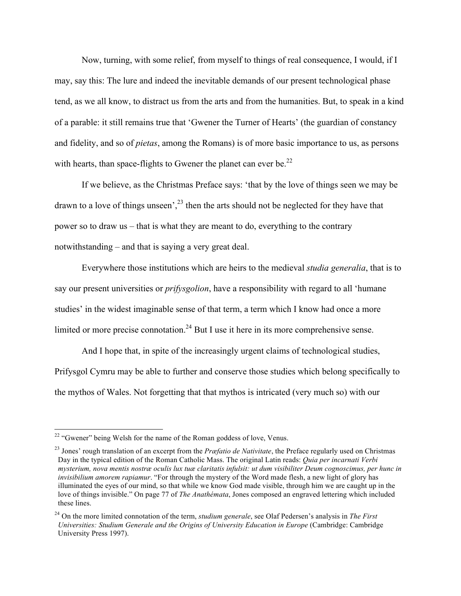Now, turning, with some relief, from myself to things of real consequence, I would, if I may, say this: The lure and indeed the inevitable demands of our present technological phase tend, as we all know, to distract us from the arts and from the humanities. But, to speak in a kind of a parable: it still remains true that 'Gwener the Turner of Hearts' (the guardian of constancy and fidelity, and so of *pietas*, among the Romans) is of more basic importance to us, as persons with hearts, than space-flights to Gwener the planet can ever be.<sup>22</sup>

If we believe, as the Christmas Preface says: 'that by the love of things seen we may be drawn to a love of things unseen',  $^{23}$  then the arts should not be neglected for they have that power so to draw us – that is what they are meant to do, everything to the contrary notwithstanding – and that is saying a very great deal.

Everywhere those institutions which are heirs to the medieval *studia generalia*, that is to say our present universities or *prifysgolion*, have a responsibility with regard to all 'humane studies' in the widest imaginable sense of that term, a term which I know had once a more limited or more precise connotation.<sup>24</sup> But I use it here in its more comprehensive sense.

And I hope that, in spite of the increasingly urgent claims of technological studies, Prifysgol Cymru may be able to further and conserve those studies which belong specifically to the mythos of Wales. Not forgetting that that mythos is intricated (very much so) with our

 $22$  "Gwener" being Welsh for the name of the Roman goddess of love, Venus.

<sup>23</sup> Jones' rough translation of an excerpt from the *Præfatio de Nativitate*, the Preface regularly used on Christmas Day in the typical edition of the Roman Catholic Mass. The original Latin reads: *Quia per incarnati Verbi mysterium, nova mentis nostræ oculis lux tuæ claritatis infulsit: ut dum visibiliter Deum cognoscimus, per hunc in invisibilium amorem rapiamur*. "For through the mystery of the Word made flesh, a new light of glory has illuminated the eyes of our mind, so that while we know God made visible, through him we are caught up in the love of things invisible." On page 77 of *The Anathémata*, Jones composed an engraved lettering which included these lines.

<sup>24</sup> On the more limited connotation of the term, *studium generale*, see Olaf Pedersen's analysis in *The First Universities: Studium Generale and the Origins of University Education in Europe* (Cambridge: Cambridge University Press 1997).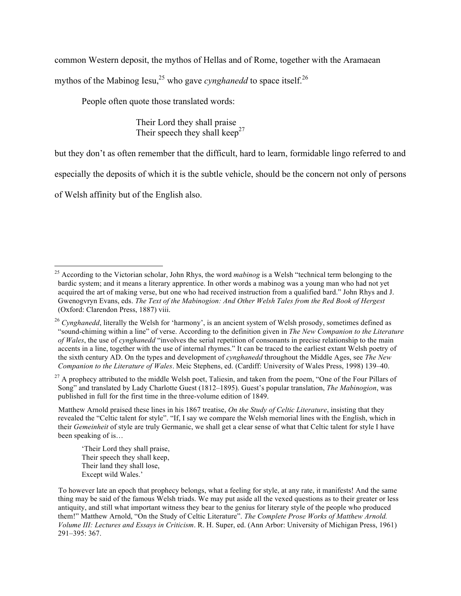common Western deposit, the mythos of Hellas and of Rome, together with the Aramaean

mythos of the Mabinog Iesu,<sup>25</sup> who gave *cynghanedd* to space itself.<sup>26</sup>

People often quote those translated words:

Their Lord they shall praise Their speech they shall keep<sup>27</sup>

but they don't as often remember that the difficult, hard to learn, formidable lingo referred to and

especially the deposits of which it is the subtle vehicle, should be the concern not only of persons

of Welsh affinity but of the English also.

<sup>27</sup> A prophecy attributed to the middle Welsh poet, Taliesin, and taken from the poem, "One of the Four Pillars of Song" and translated by Lady Charlotte Guest (1812–1895). Guest's popular translation, *The Mabinogion*, was published in full for the first time in the three-volume edition of 1849.

 Matthew Arnold praised these lines in his 1867 treatise, *On the Study of Celtic Literature*, insisting that they revealed the "Celtic talent for style". "If, I say we compare the Welsh memorial lines with the English, which in their *Gemeinheit* of style are truly Germanic, we shall get a clear sense of what that Celtic talent for style I have been speaking of is…

'Their Lord they shall praise, Their speech they shall keep, Their land they shall lose, Except wild Wales.'

<sup>&</sup>lt;sup>25</sup> According to the Victorian scholar, John Rhys, the word *mabinog* is a Welsh "technical term belonging to the bardic system; and it means a literary apprentice. In other words a mabinog was a young man who had not yet acquired the art of making verse, but one who had received instruction from a qualified bard." John Rhys and J. Gwenogvryn Evans, eds. *The Text of the Mabinogion: And Other Welsh Tales from the Red Book of Hergest* (Oxford: Clarendon Press, 1887) viii.

<sup>&</sup>lt;sup>26</sup> *Cvnghanedd*, literally the Welsh for 'harmony', is an ancient system of Welsh prosody, sometimes defined as "sound-chiming within a line" of verse. According to the definition given in *The New Companion to the Literature of Wales*, the use of *cynghanedd* "involves the serial repetition of consonants in precise relationship to the main accents in a line, together with the use of internal rhymes." It can be traced to the earliest extant Welsh poetry of the sixth century AD. On the types and development of *cynghanedd* throughout the Middle Ages, see *The New Companion to the Literature of Wales*. Meic Stephens, ed. (Cardiff: University of Wales Press, 1998) 139–40.

To however late an epoch that prophecy belongs, what a feeling for style, at any rate, it manifests! And the same thing may be said of the famous Welsh triads. We may put aside all the vexed questions as to their greater or less antiquity, and still what important witness they bear to the genius for literary style of the people who produced them!" Matthew Arnold, "On the Study of Celtic Literature". *The Complete Prose Works of Matthew Arnold. Volume III: Lectures and Essays in Criticism*. R. H. Super, ed. (Ann Arbor: University of Michigan Press, 1961) 291–395: 367.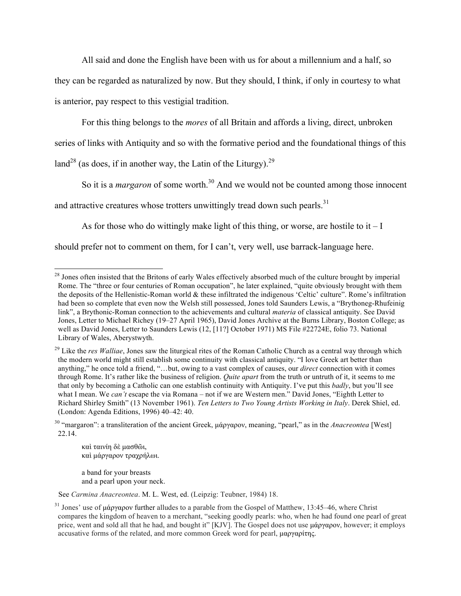All said and done the English have been with us for about a millennium and a half, so

they can be regarded as naturalized by now. But they should, I think, if only in courtesy to what

is anterior, pay respect to this vestigial tradition.

For this thing belongs to the *mores* of all Britain and affords a living, direct, unbroken

series of links with Antiquity and so with the formative period and the foundational things of this

land<sup>28</sup> (as does, if in another way, the Latin of the Liturgy).<sup>29</sup>

So it is a *margaron* of some worth.<sup>30</sup> And we would not be counted among those innocent

and attractive creatures whose trotters unwittingly tread down such pearls.<sup>31</sup>

As for those who do wittingly make light of this thing, or worse, are hostile to it  $-I$ 

should prefer not to comment on them, for I can't, very well, use barrack-language here.

καὶ ταινίη δὲ µασθῶι, καὶ µάργαρoν τραχρήλωι.

a band for your breasts and a pearl upon your neck.

See *Carmina Anacreontea*. M. L. West, ed. (Leipzig: Teubner, 1984) 18.

<sup>&</sup>lt;sup>28</sup> Jones often insisted that the Britons of early Wales effectively absorbed much of the culture brought by imperial Rome. The "three or four centuries of Roman occupation", he later explained, "quite obviously brought with them the deposits of the Hellenistic-Roman world & these infiltrated the indigenous 'Celtic' culture". Rome's infiltration had been so complete that even now the Welsh still possessed, Jones told Saunders Lewis, a "Brythoneg-Rhufeinig link", a Brythonic-Roman connection to the achievements and cultural *materia* of classical antiquity. See David Jones, Letter to Michael Richey (19–27 April 1965), David Jones Archive at the Burns Library, Boston College; as well as David Jones, Letter to Saunders Lewis (12, [11?] October 1971) MS File #22724E, folio 73. National Library of Wales, Aberystwyth.

<sup>&</sup>lt;sup>29</sup> Like the *res Walliae*, Jones saw the liturgical rites of the Roman Catholic Church as a central way through which the modern world might still establish some continuity with classical antiquity. "I love Greek art better than anything," he once told a friend, "…but, owing to a vast complex of causes, our *direct* connection with it comes through Rome. It's rather like the business of religion. *Quite apart* from the truth or untruth of it, it seems to me that only by becoming a Catholic can one establish continuity with Antiquity. I've put this *badly*, but you'll see what I mean. We *can't* escape the via Romana – not if we are Western men." David Jones, "Eighth Letter to Richard Shirley Smith" (13 November 1961). *Ten Letters to Two Young Artists Working in Italy*. Derek Shiel, ed. (London: Agenda Editions, 1996) 40–42: 40.

<sup>30</sup> "margaron": a transliteration of the ancient Greek, µάργαρoν, meaning, "pearl," as in the *Anacreontea* [West] 22.14.

<sup>&</sup>lt;sup>31</sup> Jones' use of  $\mu$ άργαρον further alludes to a parable from the Gospel of Matthew, 13:45–46, where Christ compares the kingdom of heaven to a merchant, "seeking goodly pearls: who, when he had found one pearl of great price, went and sold all that he had, and bought it" [KJV]. The Gospel does not use µάργαρoν, however; it employs accusative forms of the related, and more common Greek word for pearl, µαργαρίτης.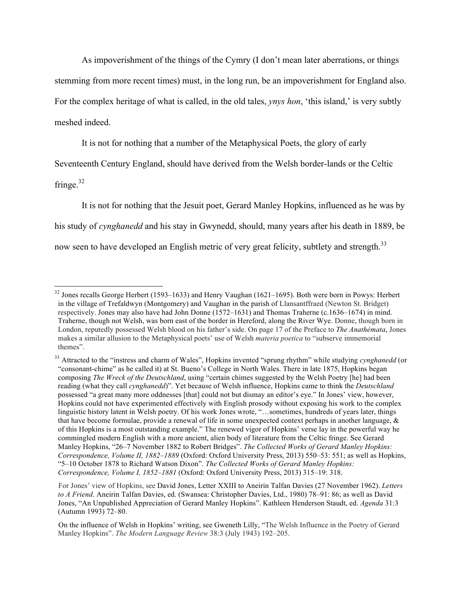As impoverishment of the things of the Cymry (I don't mean later aberrations, or things stemming from more recent times) must, in the long run, be an impoverishment for England also. For the complex heritage of what is called, in the old tales, *ynys hon*, 'this island,' is very subtly meshed indeed.

It is not for nothing that a number of the Metaphysical Poets, the glory of early

Seventeenth Century England, should have derived from the Welsh border-lands or the Celtic

fringe. $32$ 

It is not for nothing that the Jesuit poet, Gerard Manley Hopkins, influenced as he was by his study of *cynghanedd* and his stay in Gwynedd, should, many years after his death in 1889, be now seen to have developed an English metric of very great felicity, subtlety and strength.<sup>33</sup>

<sup>&</sup>lt;sup>32</sup> Jones recalls George Herbert (1593–1633) and Henry Vaughan (1621–1695). Both were born in Powys: Herbert in the village of Trefaldwyn (Montgomery) and Vaughan in the parish of Llansantffraed (Newton St. Bridget) respectively. Jones may also have had John Donne (1572–1631) and Thomas Traherne (c.1636–1674) in mind. Traherne, though not Welsh, was born east of the border in Hereford, along the River Wye. Donne, though born in London, reputedly possessed Welsh blood on his father's side. On page 17 of the Preface to *The Anathémata*, Jones makes a similar allusion to the Metaphysical poets' use of Welsh *materia poetica* to "subserve immemorial themes".

<sup>&</sup>lt;sup>33</sup> Attracted to the "instress and charm of Wales", Hopkins invented "sprung rhythm" while studying *cynghanedd* (or "consonant-chime" as he called it) at St. Bueno's College in North Wales. There in late 1875, Hopkins began composing *The Wreck of the Deutschland*, using "certain chimes suggested by the Welsh Poetry [he] had been reading (what they call *cynghanedd*)". Yet because of Welsh influence, Hopkins came to think the *Deutschland* possessed "a great many more oddnesses [that] could not but dismay an editor's eye." In Jones' view, however, Hopkins could not have experimented effectively with English prosody without exposing his work to the complex linguistic history latent in Welsh poetry. Of his work Jones wrote, "…sometimes, hundreds of years later, things that have become formulae, provide a renewal of life in some unexpected context perhaps in another language, & of this Hopkins is a most outstanding example." The renewed vigor of Hopkins' verse lay in the powerful way he commingled modern English with a more ancient, alien body of literature from the Celtic fringe. See Gerard Manley Hopkins, "26–7 November 1882 to Robert Bridges". *The Collected Works of Gerard Manley Hopkins: Correspondence, Volume II, 1882–1889* (Oxford: Oxford University Press, 2013) 550–53: 551; as well as Hopkins, "5–10 October 1878 to Richard Watson Dixon". *The Collected Works of Gerard Manley Hopkins: Correspondence, Volume I, 1852–1881* (Oxford: Oxford University Press, 2013) 315–19: 318.

For Jones' view of Hopkins, see David Jones, Letter XXIII to Aneirin Talfan Davies (27 November 1962). *Letters to A Friend*. Aneirin Talfan Davies, ed. (Swansea: Christopher Davies, Ltd., 1980) 78–91: 86; as well as David Jones, "An Unpublished Appreciation of Gerard Manley Hopkins". Kathleen Henderson Staudt, ed. *Agenda* 31:3 (Autumn 1993) 72–80.

On the influence of Welsh in Hopkins' writing, see Gweneth Lilly, "The Welsh Influence in the Poetry of Gerard Manley Hopkins". *The Modern Language Review* 38:3 (July 1943) 192–205.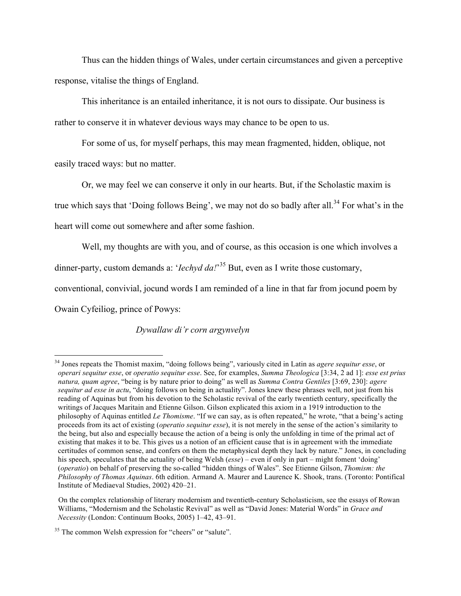Thus can the hidden things of Wales, under certain circumstances and given a perceptive response, vitalise the things of England.

This inheritance is an entailed inheritance, it is not ours to dissipate. Our business is rather to conserve it in whatever devious ways may chance to be open to us.

For some of us, for myself perhaps, this may mean fragmented, hidden, oblique, not easily traced ways: but no matter.

Or, we may feel we can conserve it only in our hearts. But, if the Scholastic maxim is true which says that 'Doing follows Being', we may not do so badly after all.<sup>34</sup> For what's in the heart will come out somewhere and after some fashion.

Well, my thoughts are with you, and of course, as this occasion is one which involves a

dinner-party, custom demands a: '*Iechyd da!*'<sup>35</sup> But, even as I write those customary,

conventional, convivial, jocund words I am reminded of a line in that far from jocund poem by

Owain Cyfeiliog, prince of Powys:

### *Dywallaw di'r corn argynvelyn*

 <sup>34</sup> Jones repeats the Thomist maxim, "doing follows being", variously cited in Latin as *agere sequitur esse*, or *operari sequitur esse*, or *operatio sequitur esse*. See, for examples, *Summa Theologica* [3:34, 2 ad 1]: *esse est prius natura, quam agree*, "being is by nature prior to doing" as well as *Summa Contra Gentiles* [3:69, 230]: *agere sequitur ad esse in actu*, "doing follows on being in actuality". Jones knew these phrases well, not just from his reading of Aquinas but from his devotion to the Scholastic revival of the early twentieth century, specifically the writings of Jacques Maritain and Etienne Gilson. Gilson explicated this axiom in a 1919 introduction to the philosophy of Aquinas entitled *Le Thomisme*. "If we can say, as is often repeated," he wrote, "that a being's acting proceeds from its act of existing (*operatio sequitur esse*), it is not merely in the sense of the action's similarity to the being, but also and especially because the action of a being is only the unfolding in time of the primal act of existing that makes it to be. This gives us a notion of an efficient cause that is in agreement with the immediate certitudes of common sense, and confers on them the metaphysical depth they lack by nature." Jones, in concluding his speech, speculates that the actuality of being Welsh (*esse*) – even if only in part – might foment 'doing' (*operatio*) on behalf of preserving the so-called "hidden things of Wales". See Etienne Gilson, *Thomism: the Philosophy of Thomas Aquinas*. 6th edition. Armand A. Maurer and Laurence K. Shook, trans. (Toronto: Pontifical Institute of Mediaeval Studies, 2002) 420–21.

On the complex relationship of literary modernism and twentieth-century Scholasticism, see the essays of Rowan Williams, "Modernism and the Scholastic Revival" as well as "David Jones: Material Words" in *Grace and Necessity* (London: Continuum Books, 2005) 1–42, 43–91.

<sup>&</sup>lt;sup>35</sup> The common Welsh expression for "cheers" or "salute".